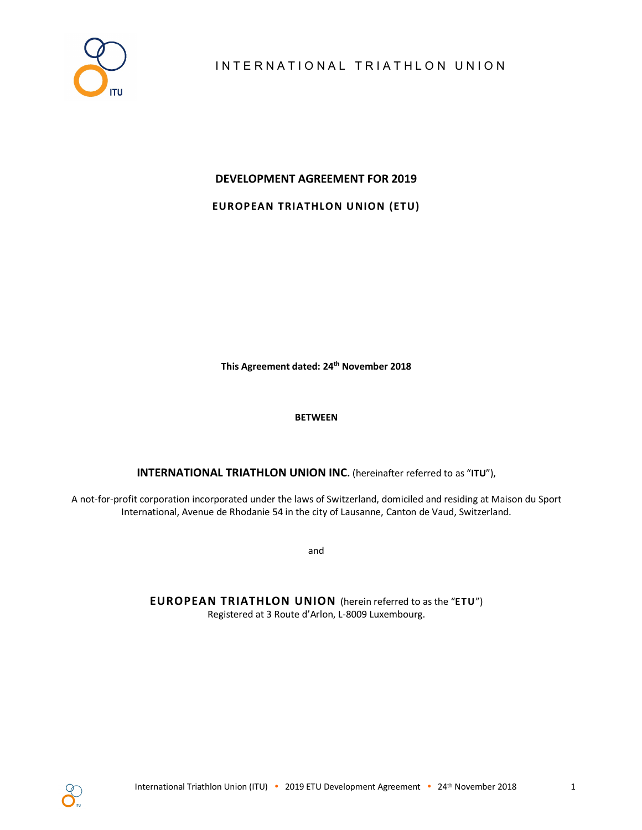

## **DEVELOPMENT AGREEMENT FOR 2019**

**EUROPEAN TRIATHLON UNION (ETU)**

**This Agreement dated: 24th November 2018**

## **BETWEEN**

**INTERNATIONAL TRIATHLON UNION INC.** (hereinafter referred to as "**ITU**"),

A not-for-profit corporation incorporated under the laws of Switzerland, domiciled and residing at Maison du Sport International, Avenue de Rhodanie 54 in the city of Lausanne, Canton de Vaud, Switzerland.

and

**EUROPEAN TRIATHLON UNION** (herein referred to as the "**ETU**") Registered at 3 Route d'Arlon, L-8009 Luxembourg.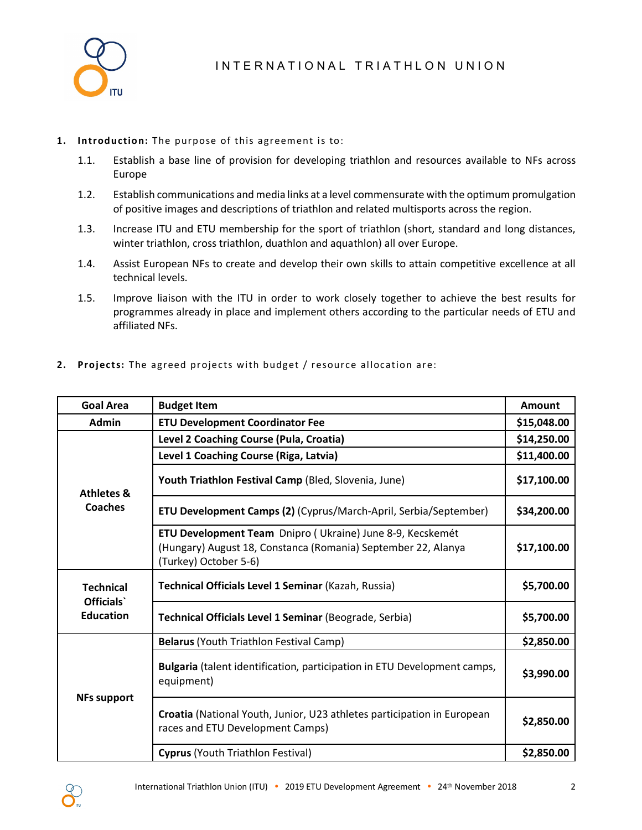

## **1. Introduction:** The purpose of this agreement is to:

- 1.1. Establish a base line of provision for developing triathlon and resources available to NFs across Europe
- 1.2. Establish communications and media links at a level commensurate with the optimum promulgation of positive images and descriptions of triathlon and related multisports across the region.
- 1.3. Increase ITU and ETU membership for the sport of triathlon (short, standard and long distances, winter triathlon, cross triathlon, duathlon and aquathlon) all over Europe.
- 1.4. Assist European NFs to create and develop their own skills to attain competitive excellence at all technical levels.
- 1.5. Improve liaison with the ITU in order to work closely together to achieve the best results for programmes already in place and implement others according to the particular needs of ETU and affiliated NFs.

|  | 2. Projects: The agreed projects with budget / resource allocation are: |  |  |
|--|-------------------------------------------------------------------------|--|--|
|  |                                                                         |  |  |

| <b>Goal Area</b>              | <b>Budget Item</b>                                                                                                                                  | Amount      |
|-------------------------------|-----------------------------------------------------------------------------------------------------------------------------------------------------|-------------|
| <b>Admin</b>                  | <b>ETU Development Coordinator Fee</b>                                                                                                              | \$15,048.00 |
|                               | Level 2 Coaching Course (Pula, Croatia)                                                                                                             |             |
|                               | Level 1 Coaching Course (Riga, Latvia)                                                                                                              |             |
| <b>Athletes &amp;</b>         | Youth Triathlon Festival Camp (Bled, Slovenia, June)                                                                                                | \$17,100.00 |
| Coaches                       | <b>ETU Development Camps (2)</b> (Cyprus/March-April, Serbia/September)                                                                             | \$34,200.00 |
|                               | ETU Development Team Dnipro (Ukraine) June 8-9, Kecskemét<br>(Hungary) August 18, Constanca (Romania) September 22, Alanya<br>(Turkey) October 5-6) | \$17,100.00 |
| <b>Technical</b><br>Officials | Technical Officials Level 1 Seminar (Kazah, Russia)                                                                                                 | \$5,700.00  |
| <b>Education</b>              | Technical Officials Level 1 Seminar (Beograde, Serbia)                                                                                              | \$5,700.00  |
|                               | Belarus (Youth Triathlon Festival Camp)                                                                                                             | \$2,850.00  |
|                               | Bulgaria (talent identification, participation in ETU Development camps,<br>equipment)                                                              | \$3,990.00  |
| <b>NFs support</b>            | Croatia (National Youth, Junior, U23 athletes participation in European<br>races and ETU Development Camps)                                         | \$2,850.00  |
|                               | Cyprus (Youth Triathlon Festival)                                                                                                                   | \$2,850.00  |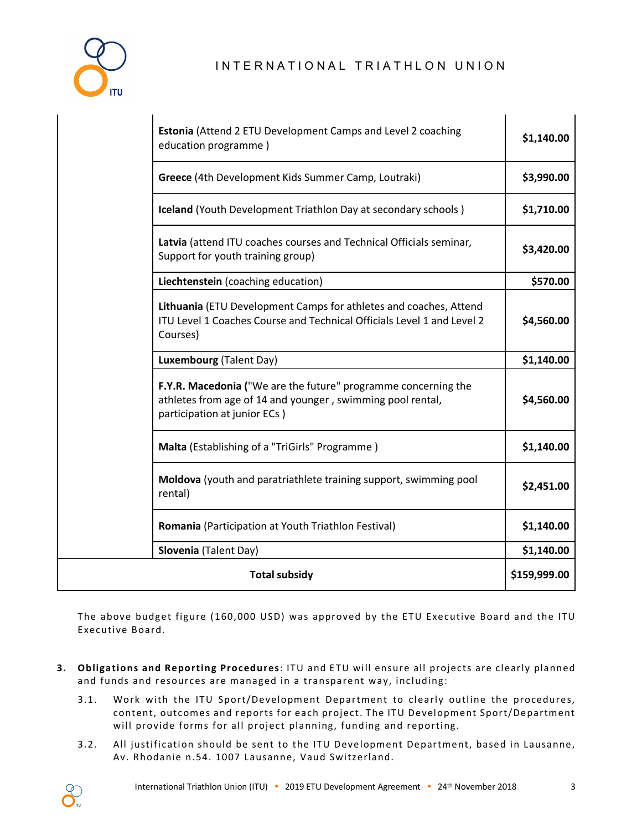

## INTERNATIONAL TRIATHLON UNION

| Estonia (Attend 2 ETU Development Camps and Level 2 coaching<br>education programme)                                                                         | \$1,140.00   |
|--------------------------------------------------------------------------------------------------------------------------------------------------------------|--------------|
| Greece (4th Development Kids Summer Camp, Loutraki)                                                                                                          | \$3,990.00   |
| Iceland (Youth Development Triathlon Day at secondary schools)                                                                                               | \$1,710.00   |
| Latvia (attend ITU coaches courses and Technical Officials seminar,<br>Support for youth training group)                                                     | \$3,420.00   |
| Liechtenstein (coaching education)                                                                                                                           | \$570.00     |
| Lithuania (ETU Development Camps for athletes and coaches, Attend<br>ITU Level 1 Coaches Course and Technical Officials Level 1 and Level 2<br>Courses)      | \$4,560.00   |
| Luxembourg (Talent Day)                                                                                                                                      | \$1,140.00   |
| F.Y.R. Macedonia ("We are the future" programme concerning the<br>athletes from age of 14 and younger, swimming pool rental,<br>participation at junior ECs) | \$4,560.00   |
| Malta (Establishing of a "TriGirls" Programme)                                                                                                               | \$1,140.00   |
| Moldova (youth and paratriathlete training support, swimming pool<br>rental)                                                                                 | \$2,451.00   |
| Romania (Participation at Youth Triathlon Festival)                                                                                                          | \$1,140.00   |
| Slovenia (Talent Day)                                                                                                                                        | \$1,140.00   |
| <b>Total subsidy</b>                                                                                                                                         | \$159,999.00 |

The above budget figure (160,000 USD) was approved by the ETU Executive Board and the ITU Executive Board.

- **3. Obligations and Reporting Procedures**: ITU and ETU will ensure all projects are clearly planned and funds and resources are managed in a transparent way, including:
	- 3.1. Work with the ITU Sport/Development Department to clearly outline the procedures, content, outcomes and reports for each project. The ITU Development Sport/Department will provide forms for all project planning, funding and reporting.
	- 3.2. All justification should be sent to the ITU Development Department, based in Lausanne, Av. Rhodanie n.54. 1007 Lausanne, Vaud Switzerland.